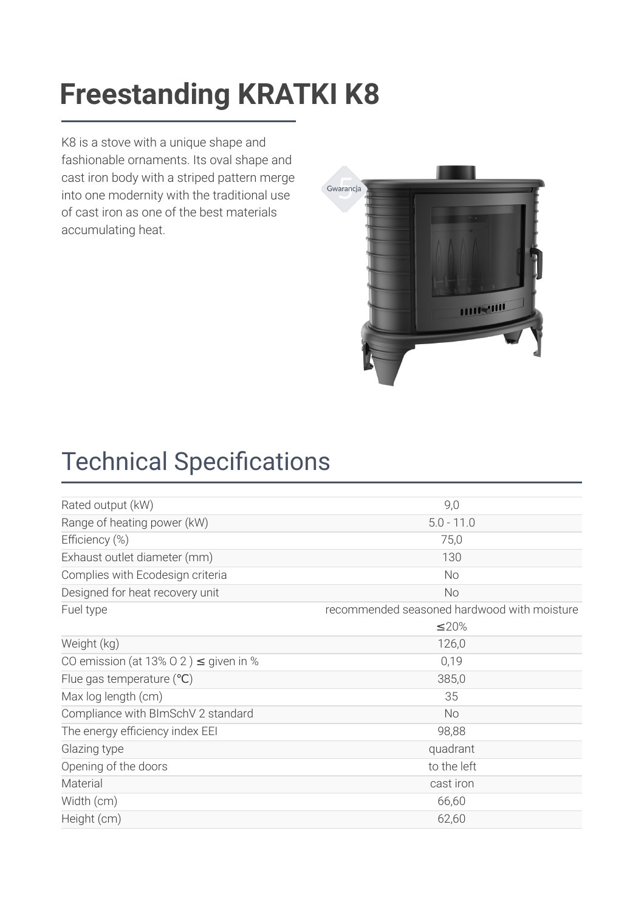### [Freestanding](https://kratki.com/sklep/en/produkt/943/freestanding-stove-k8) KDATKI K8 **Freestanding KRATKI K8**

K8 is a stove with a unique shape and fashionable ornaments. Its oval shape and cast iron body with a striped pattern merge into one modernity with the traditional use of cast iron as one of the best materials accumulating heat.



# **Technical Specifications**

| Rated output (kW)                          | 9,0                                         |
|--------------------------------------------|---------------------------------------------|
| Range of heating power (kW)                | $5.0 - 11.0$                                |
| Efficiency (%)                             | 75,0                                        |
| Exhaust outlet diameter (mm)               | 130                                         |
| Complies with Ecodesign criteria           | No                                          |
| Designed for heat recovery unit            | <b>No</b>                                   |
| Fuel type                                  | recommended seasoned hardwood with moisture |
|                                            | ≤20%                                        |
| Weight (kg)                                | 126,0                                       |
| CO emission (at 13% O 2) $\leq$ given in % | 0,19                                        |
| Flue gas temperature $(°C)$                | 385,0                                       |
| Max log length (cm)                        | 35                                          |
| Compliance with BImSchV 2 standard         | <b>No</b>                                   |
| The energy efficiency index EEI            | 98,88                                       |
| Glazing type                               | quadrant                                    |
| Opening of the doors                       | to the left                                 |
| Material                                   | cast iron                                   |
| Width (cm)                                 | 66,60                                       |
| Height (cm)                                | 62,60                                       |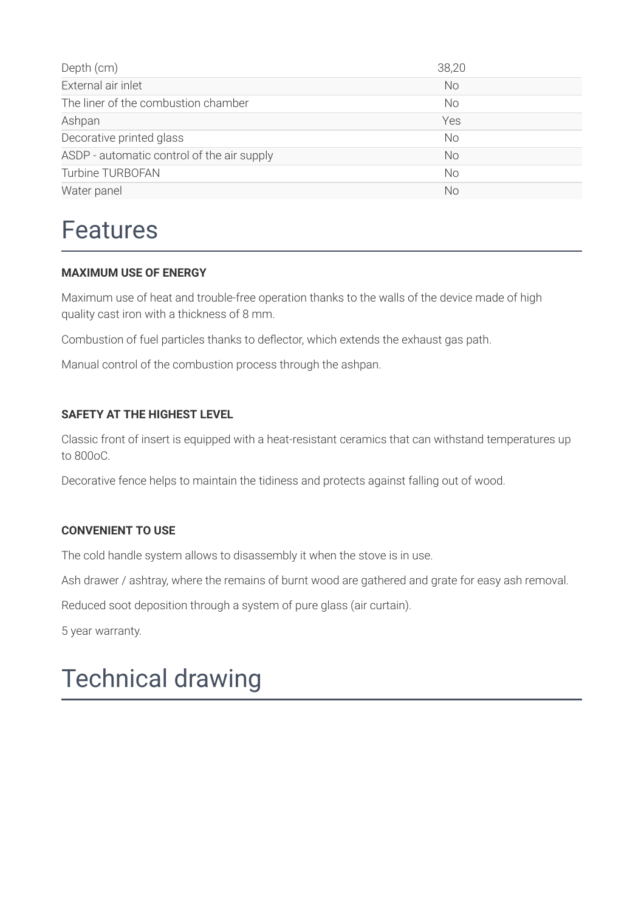| Depth (cm)                                 | 38,20     |
|--------------------------------------------|-----------|
| External air inlet                         | <b>No</b> |
| The liner of the combustion chamber        | No        |
| Ashpan                                     | Yes       |
| Decorative printed glass                   | No.       |
| ASDP - automatic control of the air supply | No.       |
| Turbine TURBOFAN                           | <b>No</b> |
| Water panel                                | No        |

### Features

#### **MAXIMUM USE OF ENERGY**

Maximum use of heat and trouble-free operation thanks to the walls of the device made of high quality cast iron with a thickness of 8 mm.

Combustion of fuel particles thanks to deflector, which extends the exhaust gas path.

Manual control of the combustion process through the ashpan.

#### **SAFETY AT THE HIGHEST LEVEL**

Classic front of insert is equipped with a heat-resistant ceramics that can withstand temperatures up to 800oC.

Decorative fence helps to maintain the tidiness and protects against falling out of wood.

#### **CONVENIENT TO USE**

The cold handle system allows to disassembly it when the stove is in use.

Ash drawer / ashtray, where the remains of burnt wood are gathered and grate for easy ash removal.

Reduced soot deposition through a system of pure glass (air curtain).

5 year warranty.

# Technical drawing